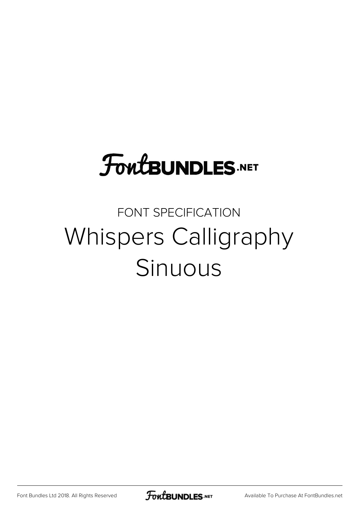## **FoutBUNDLES.NET**

## FONT SPECIFICATION Whispers Calligraphy Sinuous

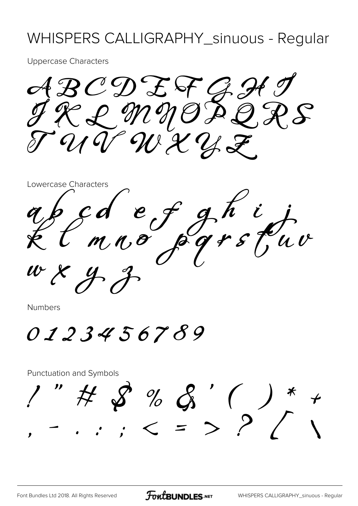## WHISPERS CALLIGRAPHY\_sinuous - Regular

**Uppercase Characters** 

ABCDEFGH  $\mathcal{E}$ UT WXYZ

Lowercase Characters cd ef ghij<br>mno pgrstuv

**Numbers** 

0123456789

**Punctuation and Symbols**  $\begin{array}{ccccccccc} \text{''} & \text{#} & \text{~} & \text{''} & \text{~} & \text{~} & \text{~} & \text{~} & \text{~} & \text{~} & \text{~} & \text{~} & \text{~} & \text{~} & \text{~} & \text{~} & \text{~} & \text{~} & \text{~} & \text{~} & \text{~} & \text{~} & \text{~} & \text{~} & \text{~} & \text{~} & \text{~} & \text{~} & \text{~} & \text{~} & \text{~} & \text{~} & \text{~} & \text{~} & \text{~} & \$ 

**FoutBUNDLES**.NET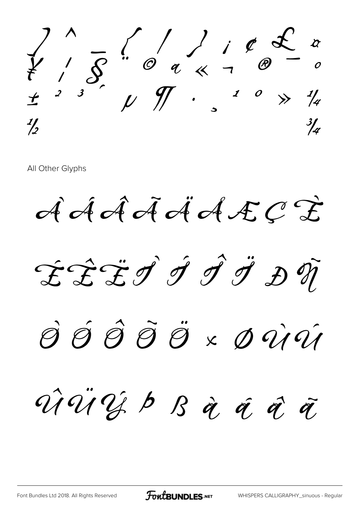

All Other Glyphs

AAAAAAAECE

ÉÊËÎ Î Î Î Ä ĐŨ

SŚŜÕÖ×DÙÚ

ViViJb B à á à à

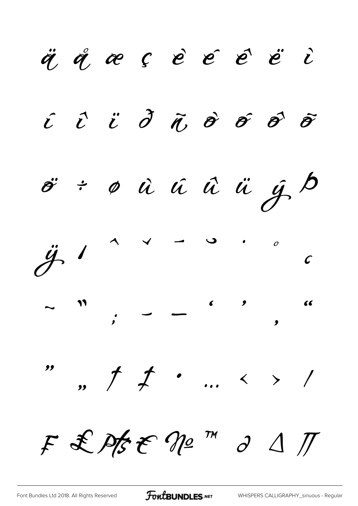ä å æ ç è é é ë i  $\hat{c}$   $\hat{c}$   $\hat{c}$   $\hat{\sigma}$   $\hat{\sigma}$   $\hat{\sigma}$   $\hat{\sigma}$   $\hat{\sigma}$   $\hat{\sigma}$  $\ddot{\sigma}$  ÷  $\phi$   $\dot{u}$   $\dot{u}$   $\ddot{u}$   $\ddot{u}$   $\dot{y}$   $\dot{\beta}$  $\ddot{\mathcal{J}}$  $\sim$   $\sim$  $\overline{O}$  $\mathcal{C}$ ",  $\uparrow$   $\downarrow$  ... < > / "  $F f f f f f$ 

FontBUNDLES.NET